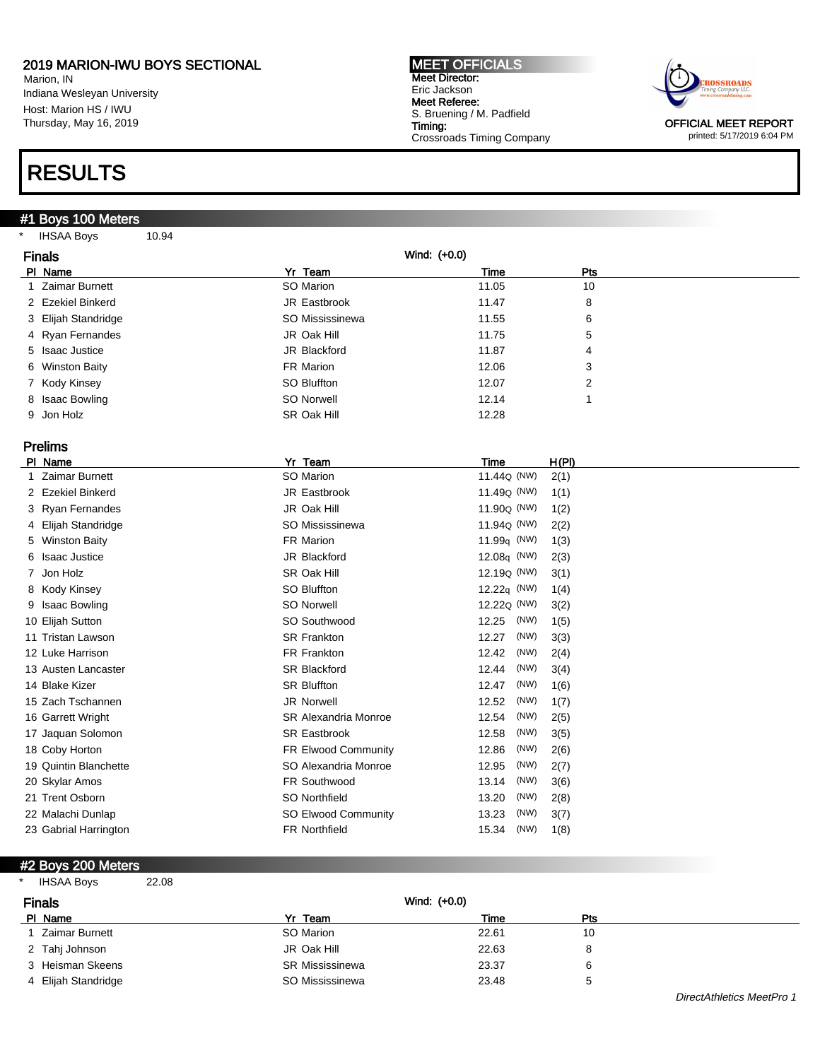Marion, IN Indiana Wesleyan University Host: Marion HS / IWU Thursday, May 16, 2019

### RESULTS

### #1 Boys 100 Meters

\* IHSAA Boys 10.94

MEET OFFICIALS Meet Director: Eric Jackson Meet Referee: S. Bruening / M. Padfield Timing: Crossroads Timing Company



printed: 5/17/2019 6:04 PM

|    | <b>Finals</b>         | Wind: (+0.0)                |                         |       |
|----|-----------------------|-----------------------------|-------------------------|-------|
|    | PI Name               | Yr Team                     | Time                    | Pts   |
|    | <b>Zaimar Burnett</b> | SO Marion                   | 11.05                   | 10    |
|    | 2 Ezekiel Binkerd     | JR Eastbrook                | 11.47                   | 8     |
| 3  | Elijah Standridge     | SO Mississinewa             | 11.55                   | 6     |
|    | 4 Ryan Fernandes      | JR Oak Hill                 | 11.75                   | 5     |
| 5. | <b>Isaac Justice</b>  | JR Blackford                | 11.87                   | 4     |
| 6  | <b>Winston Baity</b>  | FR Marion                   | 12.06                   | 3     |
|    | 7 Kody Kinsey         | SO Bluffton                 | 12.07                   | 2     |
| 8  | <b>Isaac Bowling</b>  | <b>SO Norwell</b>           | 12.14                   | 1     |
| 9  | Jon Holz              | SR Oak Hill                 | 12.28                   |       |
|    |                       |                             |                         |       |
|    | <b>Prelims</b>        |                             |                         |       |
|    | PI Name               | Yr Team                     | Time                    | H(PI) |
|    | <b>Zaimar Burnett</b> | SO Marion                   | 11.44 <sub>Q</sub> (NW) | 2(1)  |
|    | 2 Ezekiel Binkerd     | JR Eastbrook                | 11.49 <sub>Q</sub> (NW) | 1(1)  |
|    | 3 Ryan Fernandes      | JR Oak Hill                 | 11.90 <sub>Q</sub> (NW) | 1(2)  |
| 4  | Elijah Standridge     | SO Mississinewa             | 11.94 <sub>Q</sub> (NW) | 2(2)  |
| 5  | <b>Winston Baity</b>  | FR Marion                   | 11.99 <sub>q</sub> (NW) | 1(3)  |
| 6  | <b>Isaac Justice</b>  | JR Blackford                | 12.08q (NW)             | 2(3)  |
| 7  | Jon Holz              | SR Oak Hill                 | 12.19 <sub>Q</sub> (NW) | 3(1)  |
| 8  | Kody Kinsey           | <b>SO Bluffton</b>          | 12.22 $q$ (NW)          | 1(4)  |
|    | 9 Isaac Bowling       | <b>SO Norwell</b>           | 12.22 <sub>Q</sub> (NW) | 3(2)  |
|    | 10 Elijah Sutton      | SO Southwood                | (NW)<br>12.25           | 1(5)  |
|    | 11 Tristan Lawson     | <b>SR Frankton</b>          | (NW)<br>12.27           | 3(3)  |
|    | 12 Luke Harrison      | FR Frankton                 | (NW)<br>12.42           | 2(4)  |
|    | 13 Austen Lancaster   | <b>SR Blackford</b>         | 12.44<br>(NW)           | 3(4)  |
|    | 14 Blake Kizer        | <b>SR Bluffton</b>          | (NW)<br>12.47           | 1(6)  |
|    | 15 Zach Tschannen     | <b>JR Norwell</b>           | (NW)<br>12.52           | 1(7)  |
|    | 16 Garrett Wright     | <b>SR Alexandria Monroe</b> | (NW)<br>12.54           | 2(5)  |
|    | 17 Jaquan Solomon     | <b>SR Eastbrook</b>         | 12.58<br>(NW)           | 3(5)  |
|    | 18 Coby Horton        | FR Elwood Community         | (NW)<br>12.86           | 2(6)  |
|    | 19 Quintin Blanchette | SO Alexandria Monroe        | (NW)<br>12.95           | 2(7)  |
|    | 20 Skylar Amos        | FR Southwood                | 13.14<br>(NW)           | 3(6)  |
|    | 21 Trent Osborn       | SO Northfield               | 13.20<br>(NW)           | 2(8)  |
|    | 22 Malachi Dunlap     | SO Elwood Community         | 13.23<br>(NW)           | 3(7)  |
|    | 23 Gabrial Harrington | <b>FR Northfield</b>        | 15.34<br>(NW)           | 1(8)  |
|    |                       |                             |                         |       |

#### #2 Boys 200 Meters

| <b>IHSAA Boys</b><br>$\star$<br>22.08 |                 |       |     |
|---------------------------------------|-----------------|-------|-----|
| <b>Finals</b>                         | Wind: $(+0.0)$  |       |     |
| PI Name                               | Yr Team         | Time  | Pts |
| Zaimar Burnett                        | SO Marion       | 22.61 | 10  |
| 2 Tahj Johnson                        | JR Oak Hill     | 22.63 | 8   |
| 3 Heisman Skeens                      | SR Mississinewa | 23.37 | 6   |
| 4 Elijah Standridge                   | SO Mississinewa | 23.48 | 5   |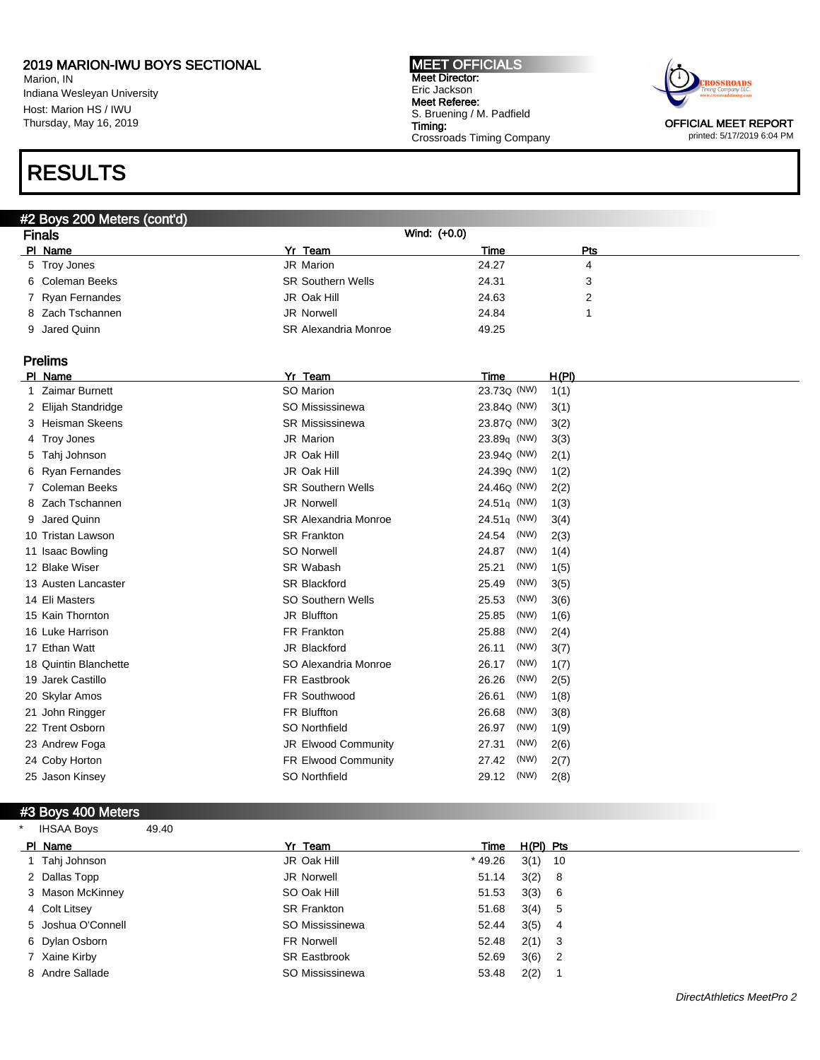Marion, IN Indiana Wesleyan University Host: Marion HS / IWU Thursday, May 16, 2019

# RESULTS

#### MEET OFFICIALS Meet Director: Eric Jackson Meet Referee: S. Bruening / M. Padfield Timing: Crossroads Timing Company



printed: 5/17/2019 6:04 PM

| #2 Boys 200 Meters (cont'd) |                             |              |     |  |  |
|-----------------------------|-----------------------------|--------------|-----|--|--|
| <b>Finals</b>               |                             | Wind: (+0.0) |     |  |  |
| PI Name                     | Yr Team                     | Time         | Pts |  |  |
| 5 Troy Jones                | JR Marion                   | 24.27        | 4   |  |  |
| 6 Coleman Beeks             | <b>SR Southern Wells</b>    | 24.31        | 3   |  |  |
| 7 Ryan Fernandes            | JR Oak Hill                 | 24.63        | 2   |  |  |
| 8 Zach Tschannen            | JR Norwell                  | 24.84        |     |  |  |
| 9 Jared Quinn               | <b>SR Alexandria Monroe</b> | 49.25        |     |  |  |

### Prelims

|    | PI Name               | Yr Team                     | Time                    |      | <u>H(PI)</u> |
|----|-----------------------|-----------------------------|-------------------------|------|--------------|
|    | <b>Zaimar Burnett</b> | SO Marion                   | 23.73 <sub>Q</sub> (NW) |      | 1(1)         |
| 2. | Elijah Standridge     | SO Mississinewa             | 23.84Q (NW)             |      | 3(1)         |
|    | 3 Heisman Skeens      | <b>SR Mississinewa</b>      | 23.87Q (NW)             |      | 3(2)         |
|    | 4 Troy Jones          | <b>JR Marion</b>            | $23.89q$ (NW)           |      | 3(3)         |
| 5  | Tahj Johnson          | JR Oak Hill                 | 23.94 <sub>Q</sub> (NW) |      | 2(1)         |
| 6. | <b>Ryan Fernandes</b> | JR Oak Hill                 | 24.39 <sub>Q</sub> (NW) |      | 1(2)         |
|    | <b>Coleman Beeks</b>  | <b>SR Southern Wells</b>    | 24.46 <sub>Q</sub> (NW) |      | 2(2)         |
| 8  | Zach Tschannen        | <b>JR Norwell</b>           | $24.51q$ (NW)           |      | 1(3)         |
| 9  | Jared Quinn           | <b>SR Alexandria Monroe</b> | $24.51q$ (NW)           |      | 3(4)         |
|    | 10 Tristan Lawson     | <b>SR Frankton</b>          | 24.54                   | (NW) | 2(3)         |
|    | 11 Isaac Bowling      | <b>SO Norwell</b>           | 24.87                   | (NW) | 1(4)         |
|    | 12 Blake Wiser        | SR Wabash                   | 25.21                   | (NW) | 1(5)         |
|    | 13 Austen Lancaster   | <b>SR Blackford</b>         | 25.49                   | (NW) | 3(5)         |
|    | 14 Eli Masters        | <b>SO Southern Wells</b>    | 25.53                   | (NW) | 3(6)         |
|    | 15 Kain Thornton      | JR Bluffton                 | 25.85                   | (NW) | 1(6)         |
|    | 16 Luke Harrison      | FR Frankton                 | 25.88                   | (NW) | 2(4)         |
|    | 17 Ethan Watt         | JR Blackford                | 26.11                   | (NW) | 3(7)         |
|    | 18 Quintin Blanchette | SO Alexandria Monroe        | 26.17                   | (NW) | 1(7)         |
|    | 19 Jarek Castillo     | FR Eastbrook                | 26.26                   | (NW) | 2(5)         |
|    | 20 Skylar Amos        | FR Southwood                | 26.61                   | (NW) | 1(8)         |
|    | 21 John Ringger       | FR Bluffton                 | 26.68                   | (NW) | 3(8)         |
|    | 22 Trent Osborn       | SO Northfield               | 26.97                   | (NW) | 1(9)         |
|    | 23 Andrew Foga        | <b>JR Elwood Community</b>  | 27.31                   | (NW) | 2(6)         |
|    | 24 Coby Horton        | FR Elwood Community         | 27.42                   | (NW) | 2(7)         |
|    | 25 Jason Kinsey       | SO Northfield               | 29.12                   | (NW) | 2(8)         |
|    |                       |                             |                         |      |              |

### #3 Boys 400 Meters

\* IHSAA Boys 49.40

| PI Name            | Yr Team             | Time    | H(PI) Pts |                |
|--------------------|---------------------|---------|-----------|----------------|
| 1 Tahj Johnson     | JR Oak Hill         | * 49.26 | 3(1)      | - 10           |
| 2 Dallas Topp      | JR Norwell          | 51.14   | 3(2)      | - 8            |
| 3 Mason McKinney   | SO Oak Hill         | 51.53   | 3(3)      | - 6            |
| 4 Colt Litsey      | <b>SR Frankton</b>  | 51.68   | 3(4)      | -5             |
| 5 Joshua O'Connell | SO Mississinewa     | 52.44   | 3(5)      | 4              |
| 6 Dylan Osborn     | <b>FR Norwell</b>   | 52.48   | 2(1)      | - 3            |
| 7 Xaine Kirby      | <b>SR Eastbrook</b> | 52.69   | 3(6)      | $\overline{2}$ |
| 8 Andre Sallade    | SO Mississinewa     | 53.48   | 2(2)      |                |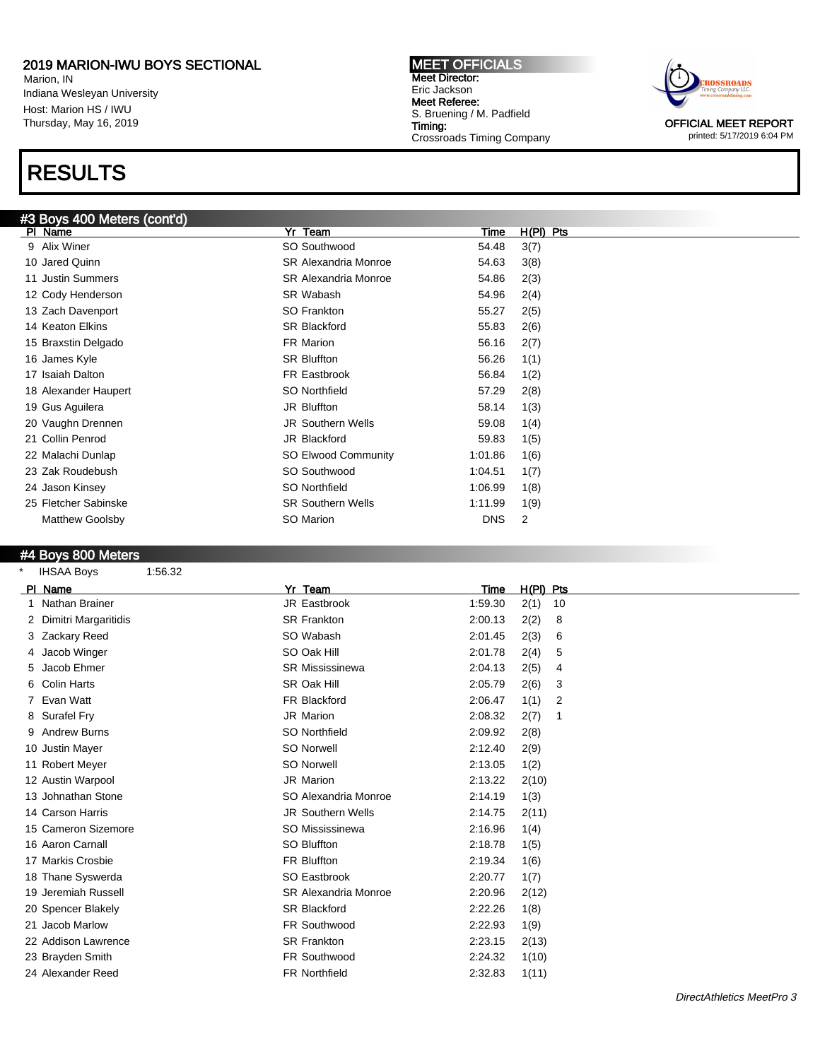Marion, IN Indiana Wesleyan University Host: Marion HS / IWU Thursday, May 16, 2019

# RESULTS

### #3 Boys 400 Meters (cont'd)

MEET OFFICIALS Meet Director: Eric Jackson Meet Referee: S. Bruening / M. Padfield Timing: Crossroads Timing Company



printed: 5/17/2019 6:04 PM

| #3 BOYS 400 Meters (cont'd) |                             |            |             |
|-----------------------------|-----------------------------|------------|-------------|
| PI Name                     | Yr Team                     | Time       | $H(PI)$ Pts |
| 9 Alix Winer                | SO Southwood                | 54.48      | 3(7)        |
| 10 Jared Quinn              | <b>SR Alexandria Monroe</b> | 54.63      | 3(8)        |
| 11 Justin Summers           | <b>SR Alexandria Monroe</b> | 54.86      | 2(3)        |
| 12 Cody Henderson           | SR Wabash                   | 54.96      | 2(4)        |
| 13 Zach Davenport           | SO Frankton                 | 55.27      | 2(5)        |
| 14 Keaton Elkins            | <b>SR Blackford</b>         | 55.83      | 2(6)        |
| 15 Braxstin Delgado         | FR Marion                   | 56.16      | 2(7)        |
| 16 James Kyle               | <b>SR Bluffton</b>          | 56.26      | 1(1)        |
| 17 Isaiah Dalton            | FR Eastbrook                | 56.84      | 1(2)        |
| 18 Alexander Haupert        | SO Northfield               | 57.29      | 2(8)        |
| 19 Gus Aguilera             | JR Bluffton                 | 58.14      | 1(3)        |
| 20 Vaughn Drennen           | <b>JR Southern Wells</b>    | 59.08      | 1(4)        |
| 21 Collin Penrod            | JR Blackford                | 59.83      | 1(5)        |
| 22 Malachi Dunlap           | SO Elwood Community         | 1:01.86    | 1(6)        |
| 23 Zak Roudebush            | SO Southwood                | 1:04.51    | 1(7)        |
| 24 Jason Kinsey             | SO Northfield               | 1:06.99    | 1(8)        |
| 25 Fletcher Sabinske        | <b>SR Southern Wells</b>    | 1:11.99    | 1(9)        |
| <b>Matthew Goolsby</b>      | SO Marion                   | <b>DNS</b> | 2           |
|                             |                             |            |             |

#### #4 Boys 800 Meters

| $\star$ | <b>IHSAA Boys</b>    | 1:56.32 |                             |         |             |    |
|---------|----------------------|---------|-----------------------------|---------|-------------|----|
|         | PI Name              |         | Yr Team                     | Time    | $H(PI)$ Pts |    |
|         | Nathan Brainer       |         | JR Eastbrook                | 1:59.30 | 2(1)        | 10 |
|         | Dimitri Margaritidis |         | <b>SR Frankton</b>          | 2:00.13 | 2(2)        | 8  |
|         | 3 Zackary Reed       |         | SO Wabash                   | 2:01.45 | 2(3)        | 6  |
|         | 4 Jacob Winger       |         | SO Oak Hill                 | 2:01.78 | 2(4)        | 5  |
| 5       | Jacob Ehmer          |         | <b>SR Mississinewa</b>      | 2:04.13 | 2(5)        | 4  |
|         | 6 Colin Harts        |         | SR Oak Hill                 | 2:05.79 | 2(6)        | 3  |
|         | 7 Evan Watt          |         | FR Blackford                | 2:06.47 | 1(1)        | 2  |
|         | 8 Surafel Fry        |         | <b>JR Marion</b>            | 2:08.32 | 2(7)        |    |
|         | 9 Andrew Burns       |         | SO Northfield               | 2:09.92 | 2(8)        |    |
|         | 10 Justin Mayer      |         | <b>SO Norwell</b>           | 2:12.40 | 2(9)        |    |
|         | 11 Robert Meyer      |         | <b>SO Norwell</b>           | 2:13.05 | 1(2)        |    |
|         | 12 Austin Warpool    |         | <b>JR Marion</b>            | 2:13.22 | 2(10)       |    |
|         | 13 Johnathan Stone   |         | SO Alexandria Monroe        | 2:14.19 | 1(3)        |    |
|         | 14 Carson Harris     |         | <b>JR Southern Wells</b>    | 2:14.75 | 2(11)       |    |
|         | 15 Cameron Sizemore  |         | SO Mississinewa             | 2:16.96 | 1(4)        |    |
|         | 16 Aaron Carnall     |         | SO Bluffton                 | 2:18.78 | 1(5)        |    |
|         | 17 Markis Crosbie    |         | FR Bluffton                 | 2:19.34 | 1(6)        |    |
|         | 18 Thane Syswerda    |         | SO Eastbrook                | 2:20.77 | 1(7)        |    |
|         | 19 Jeremiah Russell  |         | <b>SR Alexandria Monroe</b> | 2:20.96 | 2(12)       |    |
|         | 20 Spencer Blakely   |         | <b>SR Blackford</b>         | 2:22.26 | 1(8)        |    |
|         | 21 Jacob Marlow      |         | FR Southwood                | 2:22.93 | 1(9)        |    |
|         | 22 Addison Lawrence  |         | <b>SR Frankton</b>          | 2:23.15 | 2(13)       |    |
|         | 23 Brayden Smith     |         | FR Southwood                | 2:24.32 | 1(10)       |    |
|         | 24 Alexander Reed    |         | <b>FR Northfield</b>        | 2:32.83 | 1(11)       |    |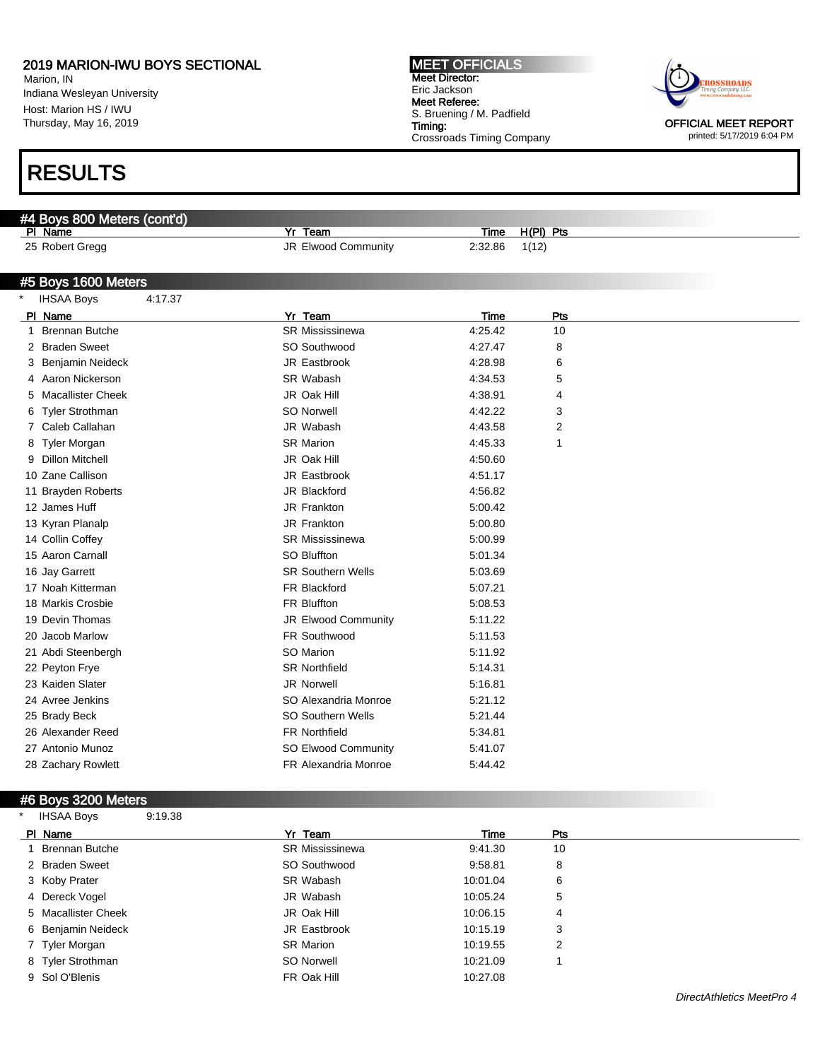Marion, IN Indiana Wesleyan University Host: Marion HS / IWU Thursday, May 16, 2019

# RESULTS

#### #4 Boys 800 Meters (cont'd)

Pl Name Yr Team Time H(Pl) Pts

25 Robert Gregg **32.86** 1(12) JR Elwood Community 2:32.86 1(12)

#### #5 Boys 1600 Meters

|   | <b>IHSAA Boys</b>        | 4:17.37 |                          |         |     |
|---|--------------------------|---------|--------------------------|---------|-----|
|   | PI Name                  |         | Yr Team                  | Time    | Pts |
| 1 | <b>Brennan Butche</b>    |         | <b>SR Mississinewa</b>   | 4:25.42 | 10  |
| 2 | <b>Braden Sweet</b>      |         | SO Southwood             | 4:27.47 | 8   |
| 3 | <b>Benjamin Neideck</b>  |         | JR Eastbrook             | 4:28.98 | 6   |
| 4 | Aaron Nickerson          |         | SR Wabash                | 4:34.53 | 5   |
|   | <b>Macallister Cheek</b> |         | JR Oak Hill              | 4:38.91 | 4   |
| 6 | <b>Tyler Strothman</b>   |         | <b>SO Norwell</b>        | 4:42.22 | 3   |
|   | Caleb Callahan           |         | JR Wabash                | 4:43.58 | 2   |
| 8 | Tyler Morgan             |         | <b>SR Marion</b>         | 4:45.33 | 1   |
| 9 | <b>Dillon Mitchell</b>   |         | JR Oak Hill              | 4:50.60 |     |
|   | 10 Zane Callison         |         | JR Eastbrook             | 4:51.17 |     |
|   | 11 Brayden Roberts       |         | JR Blackford             | 4:56.82 |     |
|   | 12 James Huff            |         | JR Frankton              | 5:00.42 |     |
|   | 13 Kyran Planalp         |         | JR Frankton              | 5:00.80 |     |
|   | 14 Collin Coffey         |         | <b>SR Mississinewa</b>   | 5:00.99 |     |
|   | 15 Aaron Carnall         |         | SO Bluffton              | 5:01.34 |     |
|   | 16 Jay Garrett           |         | <b>SR Southern Wells</b> | 5:03.69 |     |
|   | 17 Noah Kitterman        |         | FR Blackford             | 5:07.21 |     |
|   | 18 Markis Crosbie        |         | FR Bluffton              | 5:08.53 |     |
|   | 19 Devin Thomas          |         | JR Elwood Community      | 5:11.22 |     |
|   | 20 Jacob Marlow          |         | FR Southwood             | 5:11.53 |     |
|   | 21 Abdi Steenbergh       |         | SO Marion                | 5:11.92 |     |
|   | 22 Peyton Frye           |         | <b>SR Northfield</b>     | 5:14.31 |     |
|   | 23 Kaiden Slater         |         | <b>JR Norwell</b>        | 5:16.81 |     |
|   | 24 Avree Jenkins         |         | SO Alexandria Monroe     | 5:21.12 |     |
|   | 25 Brady Beck            |         | <b>SO Southern Wells</b> | 5.21.44 |     |
|   | 26 Alexander Reed        |         | <b>FR Northfield</b>     | 5:34.81 |     |
|   | 27 Antonio Munoz         |         | SO Elwood Community      | 5:41.07 |     |
|   | 28 Zachary Rowlett       |         | FR Alexandria Monroe     | 5:44.42 |     |

### #6 Boys 3200 Meters

| <b>IHSAA Boys</b>   | 9:19.38 |                        |          |     |  |
|---------------------|---------|------------------------|----------|-----|--|
| PI Name             |         | Yr Team                | Time     | Pts |  |
| Brennan Butche      |         | <b>SR Mississinewa</b> | 9:41.30  | 10  |  |
| 2 Braden Sweet      |         | SO Southwood           | 9:58.81  | 8   |  |
| 3 Koby Prater       |         | SR Wabash              | 10:01.04 | 6   |  |
| 4 Dereck Vogel      |         | JR Wabash              | 10:05.24 | 5   |  |
| 5 Macallister Cheek |         | JR Oak Hill            | 10:06.15 | 4   |  |
| 6 Benjamin Neideck  |         | JR Eastbrook           | 10:15.19 | 3   |  |
| 7 Tyler Morgan      |         | <b>SR Marion</b>       | 10:19.55 | 2   |  |
| 8 Tyler Strothman   |         | SO Norwell             | 10:21.09 |     |  |
| 9 Sol O'Blenis      |         | FR Oak Hill            | 10:27.08 |     |  |

#### MEET OFFICIALS Meet Director: Eric Jackson Meet Referee: S. Bruening / M. Padfield Timing: Crossroads Timing Company



printed: 5/17/2019 6:04 PM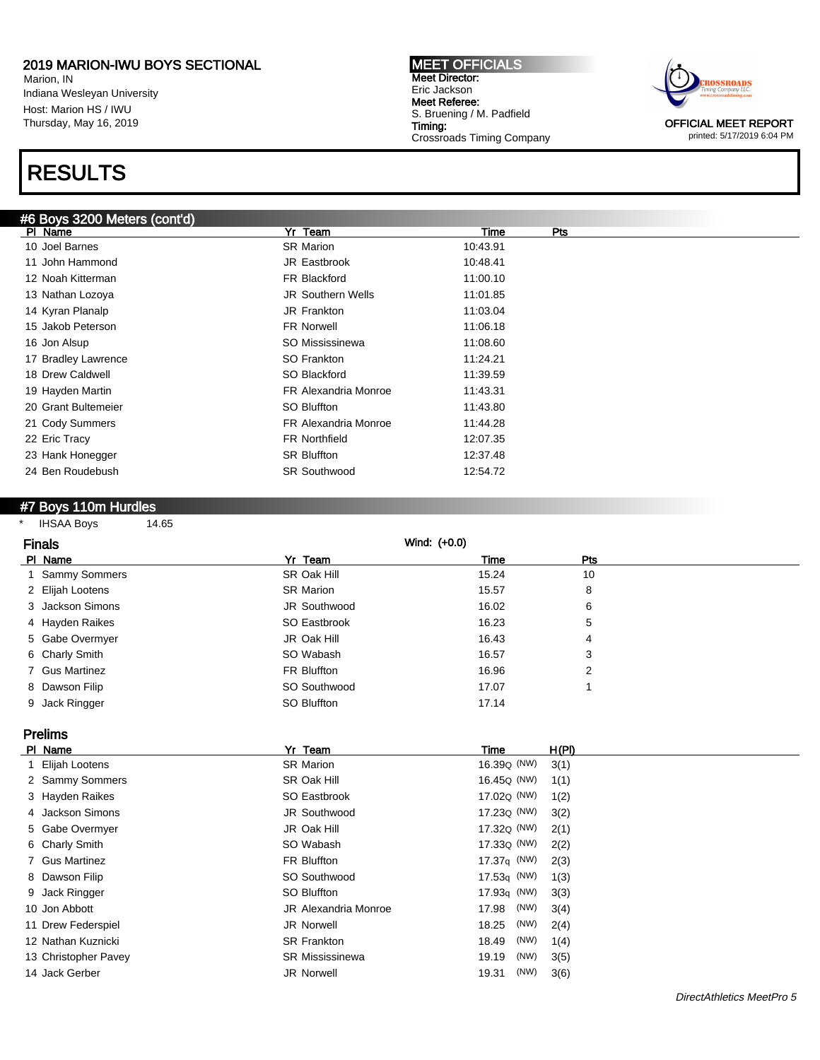Marion, IN Indiana Wesleyan University Host: Marion HS / IWU Thursday, May 16, 2019

# RESULTS

MEET OFFICIALS Meet Director: Eric Jackson Meet Referee: S. Bruening / M. Padfield Timing: Crossroads Timing Company



printed: 5/17/2019 6:04 PM

| #6 Boys 3200 Meters (cont'd) |                             |          |     |
|------------------------------|-----------------------------|----------|-----|
| PI Name                      | Yr Team                     | Time     | Pts |
| 10 Joel Barnes               | <b>SR Marion</b>            | 10:43.91 |     |
| 11 John Hammond              | JR Eastbrook                | 10:48.41 |     |
| 12 Noah Kitterman            | FR Blackford                | 11:00.10 |     |
| 13 Nathan Lozoya             | <b>JR Southern Wells</b>    | 11:01.85 |     |
| 14 Kyran Planalp             | JR Frankton                 | 11:03.04 |     |
| 15 Jakob Peterson            | <b>FR Norwell</b>           | 11:06.18 |     |
| 16 Jon Alsup                 | SO Mississinewa             | 11:08.60 |     |
| 17 Bradley Lawrence          | SO Frankton                 | 11:24.21 |     |
| 18 Drew Caldwell             | SO Blackford                | 11:39.59 |     |
| 19 Hayden Martin             | <b>FR Alexandria Monroe</b> | 11:43.31 |     |
| 20 Grant Bultemeier          | SO Bluffton                 | 11:43.80 |     |
| 21 Cody Summers              | <b>FR Alexandria Monroe</b> | 11:44.28 |     |
| 22 Eric Tracy                | <b>FR Northfield</b>        | 12:07.35 |     |
| 23 Hank Honegger             | <b>SR Bluffton</b>          | 12:37.48 |     |
| 24 Ben Roudebush             | <b>SR Southwood</b>         | 12:54.72 |     |
|                              |                             |          |     |

#### #7 Boys 110m Hurdles

\* IHSAA Boys 14.65

| <b>Finals</b>    |                  | Wind: (+0.0) |     |  |
|------------------|------------------|--------------|-----|--|
| PI Name          | Yr Team          | Time         | Pts |  |
| 1 Sammy Sommers  | SR Oak Hill      | 15.24        | 10  |  |
| 2 Elijah Lootens | <b>SR Marion</b> | 15.57        | 8   |  |
| 3 Jackson Simons | JR Southwood     | 16.02        | 6   |  |
| 4 Hayden Raikes  | SO Eastbrook     | 16.23        | 5   |  |
| 5 Gabe Overmyer  | JR Oak Hill      | 16.43        | 4   |  |
| 6 Charly Smith   | SO Wabash        | 16.57        | 3   |  |
| 7 Gus Martinez   | FR Bluffton      | 16.96        | 2   |  |
| 8 Dawson Filip   | SO Southwood     | 17.07        |     |  |
| 9 Jack Ringger   | SO Bluffton      | 17.14        |     |  |

Prelims

| PI Name              | Yr Team                | Time                    | H(PI) |
|----------------------|------------------------|-------------------------|-------|
| 1 Elijah Lootens     | <b>SR Marion</b>       | 16.39 <sub>Q</sub> (NW) | 3(1)  |
| 2 Sammy Sommers      | SR Oak Hill            | 16.45 <sub>Q</sub> (NW) | 1(1)  |
| 3 Hayden Raikes      | SO Eastbrook           | 17.02 <sub>Q</sub> (NW) | 1(2)  |
| 4 Jackson Simons     | JR Southwood           | 17.23 <sub>Q</sub> (NW) | 3(2)  |
| 5 Gabe Overmyer      | JR Oak Hill            | 17.32Q (NW)             | 2(1)  |
| 6 Charly Smith       | SO Wabash              | 17.33 <sub>Q</sub> (NW) | 2(2)  |
| 7 Gus Martinez       | FR Bluffton            | 17.37 $q$ (NW)          | 2(3)  |
| 8 Dawson Filip       | SO Southwood           | $17.53q$ (NW)           | 1(3)  |
| 9 Jack Ringger       | SO Bluffton            | 17.93 $q$ (NW)          | 3(3)  |
| 10 Jon Abbott        | JR Alexandria Monroe   | (NW)<br>17.98           | 3(4)  |
| 11 Drew Federspiel   | <b>JR Norwell</b>      | (NW)<br>18.25           | 2(4)  |
| 12 Nathan Kuznicki   | <b>SR Frankton</b>     | (NW)<br>18.49           | 1(4)  |
| 13 Christopher Pavey | <b>SR Mississinewa</b> | (NW)<br>19.19           | 3(5)  |
| 14 Jack Gerber       | <b>JR Norwell</b>      | (NW)<br>19.31           | 3(6)  |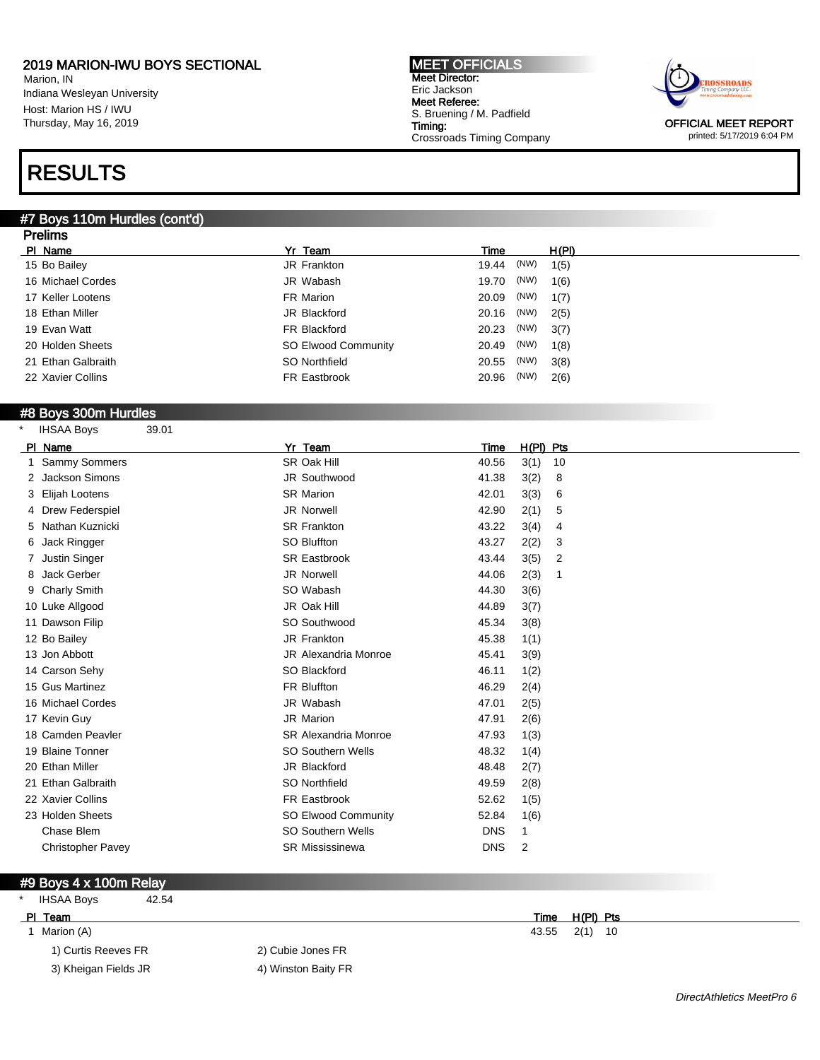Marion, IN Indiana Wesleyan University Host: Marion HS / IWU Thursday, May 16, 2019

# RESULTS

#### #7 Boys 110m Hurdles (cont'd) **Dralims**

| гіешір             |                            |               |       |  |
|--------------------|----------------------------|---------------|-------|--|
| PI Name            | Yr Team                    | Time          | H(PI) |  |
| 15 Bo Bailey       | JR Frankton                | (NW)<br>19.44 | 1(5)  |  |
| 16 Michael Cordes  | JR Wabash                  | (NW)<br>19.70 | 1(6)  |  |
| 17 Keller Lootens  | FR Marion                  | (NW)<br>20.09 | 1(7)  |  |
| 18 Ethan Miller    | JR Blackford               | (NW)<br>20.16 | 2(5)  |  |
| 19 Evan Watt       | FR Blackford               | (NW)<br>20.23 | 3(7)  |  |
| 20 Holden Sheets   | <b>SO Elwood Community</b> | (NW)<br>20.49 | 1(8)  |  |
| 21 Ethan Galbraith | SO Northfield              | (NW)<br>20.55 | 3(8)  |  |
| 22 Xavier Collins  | FR Eastbrook               | (NW)<br>20.96 | 2(6)  |  |
|                    |                            |               |       |  |

MEET OFFICIALS Meet Director: Eric Jackson Meet Referee:

S. Bruening / M. Padfield

Crossroads Timing Company

Timing:

#### #8 Boys 300m Hurdles

| <b>IHSAA Boys</b> | 39.01 |
|-------------------|-------|
|                   |       |

| Name<br><b>PI</b>        | Yr Team                     | $H(PI)$ Pts<br>Time |
|--------------------------|-----------------------------|---------------------|
| Sammy Sommers            | SR Oak Hill                 | 3(1)<br>40.56<br>10 |
| <b>Jackson Simons</b>    | JR Southwood                | 3(2)<br>41.38<br>8  |
| Elijah Lootens<br>3      | <b>SR Marion</b>            | 3(3)<br>42.01<br>6  |
| 4 Drew Federspiel        | <b>JR Norwell</b>           | 2(1)<br>42.90<br>5  |
| Nathan Kuznicki<br>5     | <b>SR Frankton</b>          | 43.22<br>3(4)<br>4  |
| Jack Ringger<br>6        | SO Bluffton                 | 2(2)<br>43.27<br>3  |
| <b>Justin Singer</b>     | <b>SR Eastbrook</b>         | 43.44<br>3(5)<br>2  |
| Jack Gerber<br>8         | JR Norwell                  | 44.06<br>2(3)<br>1  |
| 9 Charly Smith           | SO Wabash                   | 44.30<br>3(6)       |
| 10 Luke Allgood          | JR Oak Hill                 | 44.89<br>3(7)       |
| 11 Dawson Filip          | SO Southwood                | 45.34<br>3(8)       |
| 12 Bo Bailey             | JR Frankton                 | 45.38<br>1(1)       |
| 13 Jon Abbott            | <b>JR Alexandria Monroe</b> | 45.41<br>3(9)       |
| 14 Carson Sehy           | SO Blackford                | 46.11<br>1(2)       |
| 15 Gus Martinez          | <b>FR Bluffton</b>          | 46.29<br>2(4)       |
| 16 Michael Cordes        | JR Wabash                   | 47.01<br>2(5)       |
| 17 Kevin Guy             | JR Marion                   | 47.91<br>2(6)       |
| 18 Camden Peavler        | <b>SR Alexandria Monroe</b> | 47.93<br>1(3)       |
| 19 Blaine Tonner         | <b>SO Southern Wells</b>    | 48.32<br>1(4)       |
| 20 Ethan Miller          | JR Blackford                | 48.48<br>2(7)       |
| 21 Ethan Galbraith       | SO Northfield               | 49.59<br>2(8)       |
| 22 Xavier Collins        | FR Eastbrook                | 52.62<br>1(5)       |
| 23 Holden Sheets         | SO Elwood Community         | 52.84<br>1(6)       |
| Chase Blem               | <b>SO Southern Wells</b>    | <b>DNS</b>          |
| <b>Christopher Pavey</b> | <b>SR Mississinewa</b>      | <b>DNS</b><br>2     |

#### #9 Boys 4 x 100m Relay

|  | <b>IHSAA Boys</b> | 42.54 |
|--|-------------------|-------|
|--|-------------------|-------|

- - 1) Curtis Reeves FR 2) Cubie Jones FR
	- 3) Kheigan Fields JR 4) Winston Baity FR
- 

PI Team Time H(PI) Pts 1 Marion (A) 43.55 2(1) 10

ROSSROADS OFFICIAL MEET REPORT printed: 5/17/2019 6:04 PM

DirectAthletics MeetPro 6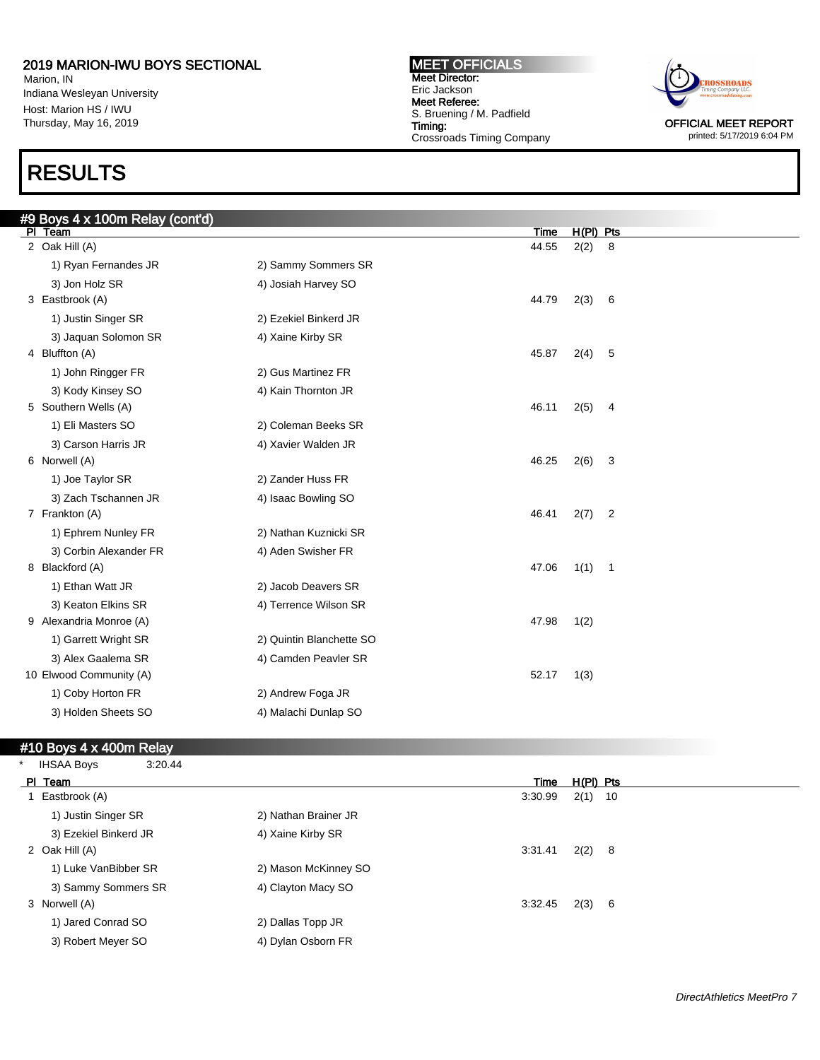Marion, IN Indiana Wesleyan University Host: Marion HS / IWU Thursday, May 16, 2019

# RESULTS

#### MEET OFFICIALS Meet Director: Eric Jackson Meet Referee: S. Bruening / M. Padfield Timing: Crossroads Timing Company



printed: 5/17/2019 6:04 PM

| #9 Boys 4 x 100m Relay (cont'd) |                          |       |             |                            |
|---------------------------------|--------------------------|-------|-------------|----------------------------|
| PI Team                         |                          | Time  | $H(PI)$ Pts |                            |
| 2 Oak Hill (A)                  |                          | 44.55 | 2(2)        | 8                          |
| 1) Ryan Fernandes JR            | 2) Sammy Sommers SR      |       |             |                            |
| 3) Jon Holz SR                  | 4) Josiah Harvey SO      |       |             |                            |
| 3 Eastbrook (A)                 |                          | 44.79 | 2(3)        | 6                          |
| 1) Justin Singer SR             | 2) Ezekiel Binkerd JR    |       |             |                            |
| 3) Jaquan Solomon SR            | 4) Xaine Kirby SR        |       |             |                            |
| 4 Bluffton (A)                  |                          | 45.87 | 2(4)        | 5                          |
| 1) John Ringger FR              | 2) Gus Martinez FR       |       |             |                            |
| 3) Kody Kinsey SO               | 4) Kain Thornton JR      |       |             |                            |
| 5 Southern Wells (A)            |                          | 46.11 | 2(5)        | $\overline{4}$             |
| 1) Eli Masters SO               | 2) Coleman Beeks SR      |       |             |                            |
| 3) Carson Harris JR             | 4) Xavier Walden JR      |       |             |                            |
| 6 Norwell (A)                   |                          | 46.25 | 2(6)        | 3                          |
| 1) Joe Taylor SR                | 2) Zander Huss FR        |       |             |                            |
| 3) Zach Tschannen JR            | 4) Isaac Bowling SO      |       |             |                            |
| 7 Frankton (A)                  |                          | 46.41 | 2(7)        | $\overline{2}$             |
| 1) Ephrem Nunley FR             | 2) Nathan Kuznicki SR    |       |             |                            |
| 3) Corbin Alexander FR          | 4) Aden Swisher FR       |       |             |                            |
| 8 Blackford (A)                 |                          | 47.06 | 1(1)        | $\overline{\phantom{0}}$ 1 |
| 1) Ethan Watt JR                | 2) Jacob Deavers SR      |       |             |                            |
| 3) Keaton Elkins SR             | 4) Terrence Wilson SR    |       |             |                            |
| 9 Alexandria Monroe (A)         |                          | 47.98 | 1(2)        |                            |
| 1) Garrett Wright SR            | 2) Quintin Blanchette SO |       |             |                            |
| 3) Alex Gaalema SR              | 4) Camden Peavler SR     |       |             |                            |
| 10 Elwood Community (A)         |                          | 52.17 | 1(3)        |                            |
| 1) Coby Horton FR               | 2) Andrew Foga JR        |       |             |                            |
| 3) Holden Sheets SO             | 4) Malachi Dunlap SO     |       |             |                            |
|                                 |                          |       |             |                            |

#### #10 Boys 4 x 400m Relay

| <b>IHSAA Boys</b>     | 3:20.44 |                      |         |             |  |
|-----------------------|---------|----------------------|---------|-------------|--|
| PI Team               |         |                      | Time    | $H(PI)$ Pts |  |
| Eastbrook (A)         |         |                      | 3:30.99 | $2(1)$ 10   |  |
| 1) Justin Singer SR   |         | 2) Nathan Brainer JR |         |             |  |
| 3) Ezekiel Binkerd JR |         | 4) Xaine Kirby SR    |         |             |  |
| 2 Oak Hill (A)        |         |                      | 3:31.41 | $2(2)$ 8    |  |
| 1) Luke VanBibber SR  |         | 2) Mason McKinney SO |         |             |  |
| 3) Sammy Sommers SR   |         | 4) Clayton Macy SO   |         |             |  |
| 3 Norwell (A)         |         |                      | 3:32.45 | 2(3) 6      |  |
| 1) Jared Conrad SO    |         | 2) Dallas Topp JR    |         |             |  |
| 3) Robert Meyer SO    |         | 4) Dylan Osborn FR   |         |             |  |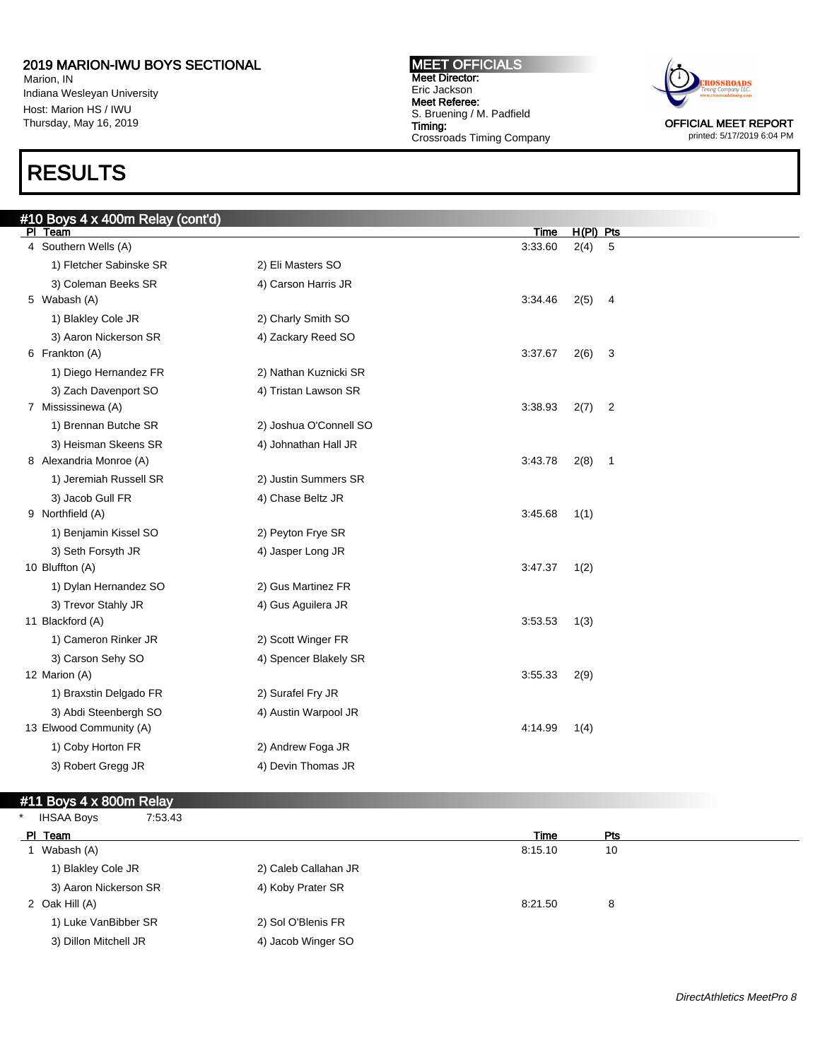Marion, IN Indiana Wesleyan University Host: Marion HS / IWU Thursday, May 16, 2019

# RESULTS

#### MEET OFFICIALS Meet Director: Eric Jackson Meet Referee: S. Bruening / M. Padfield Timing: Crossroads Timing Company



printed: 5/17/2019 6:04 PM

| #10 Boys 4 x 400m Relay (cont'd) |                        |         |             |                |
|----------------------------------|------------------------|---------|-------------|----------------|
| PI Team                          |                        | Time    | $H(PI)$ Pts |                |
| 4 Southern Wells (A)             |                        | 3:33.60 | 2(4)        | 5              |
| 1) Fletcher Sabinske SR          | 2) Eli Masters SO      |         |             |                |
| 3) Coleman Beeks SR              | 4) Carson Harris JR    |         |             |                |
| 5 Wabash (A)                     |                        | 3:34.46 | 2(5)        | 4              |
| 1) Blakley Cole JR               | 2) Charly Smith SO     |         |             |                |
| 3) Aaron Nickerson SR            | 4) Zackary Reed SO     |         |             |                |
| 6 Frankton (A)                   |                        | 3:37.67 | 2(6)        | 3              |
| 1) Diego Hernandez FR            | 2) Nathan Kuznicki SR  |         |             |                |
| 3) Zach Davenport SO             | 4) Tristan Lawson SR   |         |             |                |
| 7 Mississinewa (A)               |                        | 3:38.93 | 2(7)        | $\overline{2}$ |
| 1) Brennan Butche SR             | 2) Joshua O'Connell SO |         |             |                |
| 3) Heisman Skeens SR             | 4) Johnathan Hall JR   |         |             |                |
| 8 Alexandria Monroe (A)          |                        | 3:43.78 | $2(8)$ 1    |                |
| 1) Jeremiah Russell SR           | 2) Justin Summers SR   |         |             |                |
| 3) Jacob Gull FR                 | 4) Chase Beltz JR      |         |             |                |
| 9 Northfield (A)                 |                        | 3:45.68 | 1(1)        |                |
| 1) Benjamin Kissel SO            | 2) Peyton Frye SR      |         |             |                |
| 3) Seth Forsyth JR               | 4) Jasper Long JR      |         |             |                |
| 10 Bluffton (A)                  |                        | 3:47.37 | 1(2)        |                |
| 1) Dylan Hernandez SO            | 2) Gus Martinez FR     |         |             |                |
| 3) Trevor Stahly JR              | 4) Gus Aguilera JR     |         |             |                |
| 11 Blackford (A)                 |                        | 3:53.53 | 1(3)        |                |
| 1) Cameron Rinker JR             | 2) Scott Winger FR     |         |             |                |
| 3) Carson Sehy SO                | 4) Spencer Blakely SR  |         |             |                |
| 12 Marion (A)                    |                        | 3:55.33 | 2(9)        |                |
| 1) Braxstin Delgado FR           | 2) Surafel Fry JR      |         |             |                |
| 3) Abdi Steenbergh SO            | 4) Austin Warpool JR   |         |             |                |
| 13 Elwood Community (A)          |                        | 4:14.99 | 1(4)        |                |
| 1) Coby Horton FR                | 2) Andrew Foga JR      |         |             |                |
| 3) Robert Gregg JR               | 4) Devin Thomas JR     |         |             |                |
|                                  |                        |         |             |                |

### #11 Boys 4 x 800m Relay

| <b>IHSAA Boys</b><br>7:53.43 |                      |         |     |
|------------------------------|----------------------|---------|-----|
| PI Team                      |                      | Time    | Pts |
| 1 Wabash (A)                 |                      | 8:15.10 | 10  |
| 1) Blakley Cole JR           | 2) Caleb Callahan JR |         |     |
| 3) Aaron Nickerson SR        | 4) Koby Prater SR    |         |     |
| 2 Oak Hill (A)               |                      | 8:21.50 | 8   |
| 1) Luke VanBibber SR         | 2) Sol O'Blenis FR   |         |     |
| 3) Dillon Mitchell JR        | 4) Jacob Winger SO   |         |     |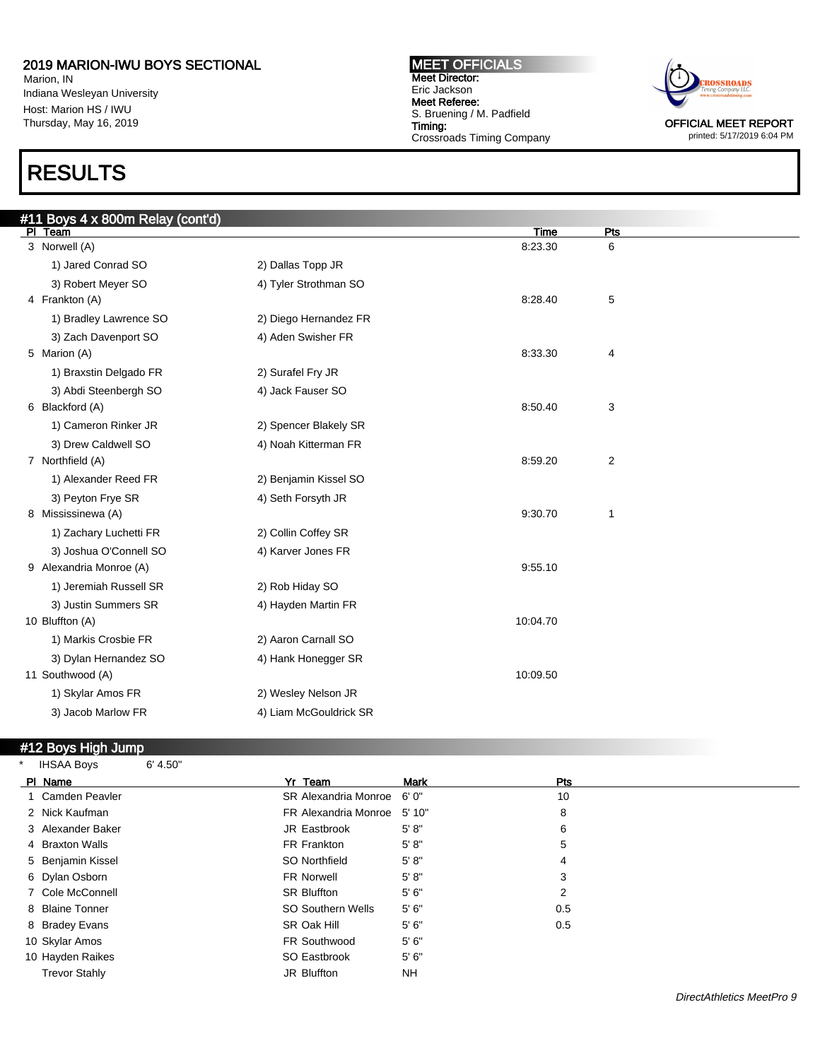Marion, IN Indiana Wesleyan University Host: Marion HS / IWU Thursday, May 16, 2019

# RESULTS

MEET OFFICIALS Meet Director: Eric Jackson Meet Referee: S. Bruening / M. Padfield Timing: Crossroads Timing Company



printed: 5/17/2019 6:04 PM

| #11 Boys 4 x 800m Relay (cont'd) |                        |          |                |  |
|----------------------------------|------------------------|----------|----------------|--|
| PI Team                          |                        | Time     | Pts            |  |
| 3 Norwell (A)                    |                        | 8:23.30  | 6              |  |
| 1) Jared Conrad SO               | 2) Dallas Topp JR      |          |                |  |
| 3) Robert Meyer SO               | 4) Tyler Strothman SO  |          |                |  |
| 4 Frankton (A)                   |                        | 8:28.40  | 5              |  |
| 1) Bradley Lawrence SO           | 2) Diego Hernandez FR  |          |                |  |
| 3) Zach Davenport SO             | 4) Aden Swisher FR     |          |                |  |
| 5 Marion (A)                     |                        | 8:33.30  | $\overline{4}$ |  |
| 1) Braxstin Delgado FR           | 2) Surafel Fry JR      |          |                |  |
| 3) Abdi Steenbergh SO            | 4) Jack Fauser SO      |          |                |  |
| 6 Blackford (A)                  |                        | 8:50.40  | 3              |  |
| 1) Cameron Rinker JR             | 2) Spencer Blakely SR  |          |                |  |
| 3) Drew Caldwell SO              | 4) Noah Kitterman FR   |          |                |  |
| 7 Northfield (A)                 |                        | 8:59.20  | $\overline{c}$ |  |
| 1) Alexander Reed FR             | 2) Benjamin Kissel SO  |          |                |  |
| 3) Peyton Frye SR                | 4) Seth Forsyth JR     |          |                |  |
| 8 Mississinewa (A)               |                        | 9:30.70  | $\mathbf{1}$   |  |
| 1) Zachary Luchetti FR           | 2) Collin Coffey SR    |          |                |  |
| 3) Joshua O'Connell SO           | 4) Karver Jones FR     |          |                |  |
| 9 Alexandria Monroe (A)          |                        | 9:55.10  |                |  |
| 1) Jeremiah Russell SR           | 2) Rob Hiday SO        |          |                |  |
| 3) Justin Summers SR             | 4) Hayden Martin FR    |          |                |  |
| 10 Bluffton (A)                  |                        | 10:04.70 |                |  |
| 1) Markis Crosbie FR             | 2) Aaron Carnall SO    |          |                |  |
| 3) Dylan Hernandez SO            | 4) Hank Honegger SR    |          |                |  |
| 11 Southwood (A)                 |                        | 10:09.50 |                |  |
| 1) Skylar Amos FR                | 2) Wesley Nelson JR    |          |                |  |
| 3) Jacob Marlow FR               | 4) Liam McGouldrick SR |          |                |  |
|                                  |                        |          |                |  |

#### #12 Boys High Jump

IHSAA Boys 6' 4.50" PI Name **Product Product Product Product Product Product Product Product Product Product Product Product Product** 1 Camden Peavler SR Alexandria Monroe 6' 0" 10 2 Nick Kaufman FR Alexandria Monroe 5' 10" 8 3 Alexander Baker Gasser Communication Communication Communication Communication Communication Communication Co 4 Braxton Walls **FR Frankton** 5' 8" 5 5' 8" 5 Benjamin Kissel 1988 Conservation of the SO Northfield 5' 8" and 5' 8" and 4' 4' A 6 Dylan Osborn **1988** Strategies and the Strategies of the Strategies of the Strategies of the Strategies of the Strategies of the Strategies of the Strategies of the Strategies of the Strategies of the Strategies of the S 7 Cole McConnell SR Bluffton 5' 6" 2 8 Blaine Tonner Communication Contract SO Southern Wells 5' 6" 0.5 8 Bradey Evans SR Oak Hill 5' 6" 0.5 10 Skylar Amos **FR Southwood** 5' 6" 10 Hayden Raikes **SO Eastbrook** 5' 6" Trevor Stahly **Intervolution** JR Bluffton NH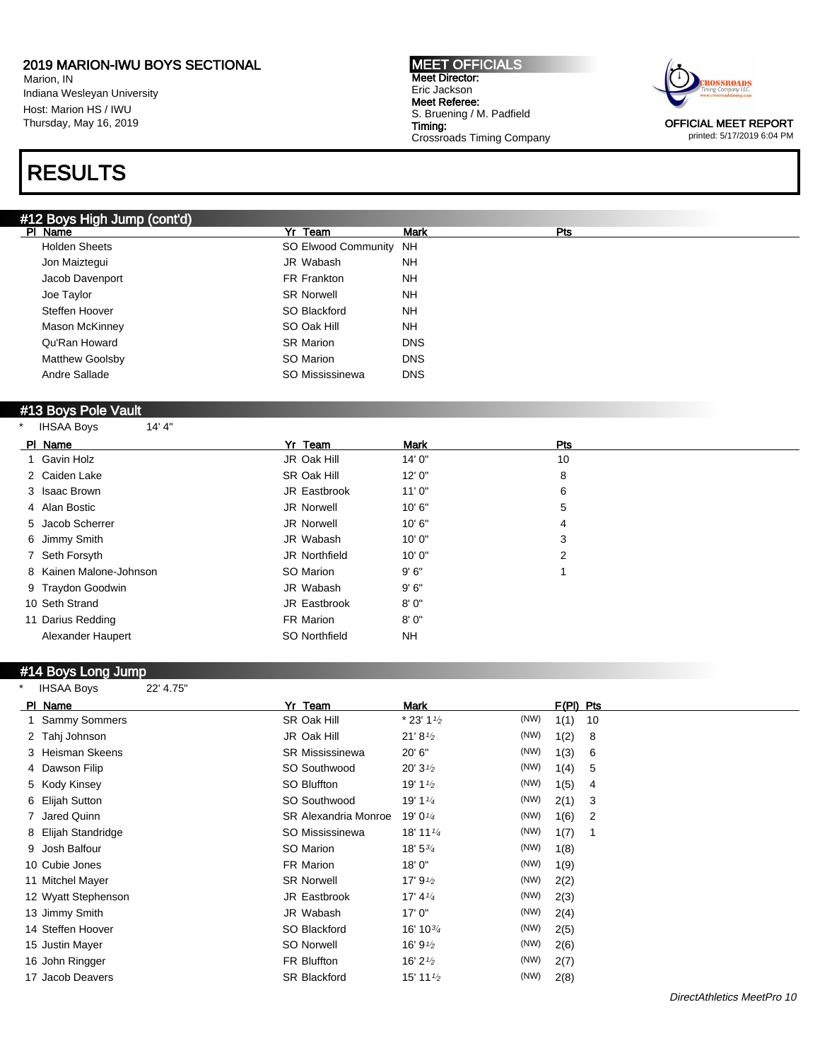Qu'Ran Howard **Calculation** SR Marion DNS Matthew Goolsby **SO Marion** DNS

Marion, IN Indiana Wesleyan University Host: Marion HS / IWU Thursday, May 16, 2019

# RES

# #12 Boys<br>PI Name

| <b>RESULTS</b>             |                        |             |     |  |
|----------------------------|------------------------|-------------|-----|--|
| 12 Boys High Jump (cont'd) |                        |             |     |  |
| PI Name                    | Yr Team                | <b>Mark</b> | Pts |  |
| <b>Holden Sheets</b>       | SO Elwood Community NH |             |     |  |
| Jon Maiztegui              | JR Wabash              | <b>NH</b>   |     |  |
| Jacob Davenport            | FR Frankton            | <b>NH</b>   |     |  |
| Joe Taylor                 | <b>SR Norwell</b>      | <b>NH</b>   |     |  |
| Steffen Hoover             | SO Blackford           | <b>NH</b>   |     |  |
| <b>Mason McKinney</b>      | SO Oak Hill            | NΗ          |     |  |

| Andre Sallade |  |
|---------------|--|
|               |  |

#### #13 Boys Pole Vault

| <b>IHSAA Boys</b> | 14' 4" |
|-------------------|--------|
|                   |        |

| PI Name                 | Yr Team       | <b>Mark</b> | Pts |  |
|-------------------------|---------------|-------------|-----|--|
| 1 Gavin Holz            | JR Oak Hill   | 14'0"       | 10  |  |
| 2 Caiden Lake           | SR Oak Hill   | 12'0''      | 8   |  |
| 3 Isaac Brown           | JR Eastbrook  | 11'0''      | 6   |  |
| 4 Alan Bostic           | JR Norwell    | 10'6"       | 5   |  |
| 5 Jacob Scherrer        | JR Norwell    | 10'6"       | 4   |  |
| 6 Jimmy Smith           | JR Wabash     | 10'0''      | 3   |  |
| 7 Seth Forsyth          | JR Northfield | 10'0''      | 2   |  |
| 8 Kainen Malone-Johnson | SO Marion     | 9'6''       |     |  |
| 9 Traydon Goodwin       | JR Wabash     | 9'6''       |     |  |
| 10 Seth Strand          | JR Eastbrook  | 8'0''       |     |  |
| 11 Darius Redding       | FR Marion     | 8' 0"       |     |  |
| Alexander Haupert       | SO Northfield | NΗ          |     |  |
|                         |               |             |     |  |

SO Mississinewa DNS

#### #14 Boys Long Jump

| $\star$<br><b>IHSAA Boys</b><br>22' 4.75"                                                |
|------------------------------------------------------------------------------------------|
| Yr Team<br>$F(PI)$ Pts<br>PI Name<br>Mark                                                |
| $*$ 23' 1 $\frac{1}{2}$<br>(NW)<br>1 Sammy Sommers<br>SR Oak Hill<br>1(1)<br>10          |
| (NW)<br>JR Oak Hill<br>21' 8'<br>1(2)<br>2 Tahj Johnson<br>8                             |
| (NW)<br>20'6''<br>1(3)<br>3 Heisman Skeens<br><b>SR Mississinewa</b><br>6                |
| (NW)<br>1(4)<br>SO Southwood<br>20' $3\frac{1}{2}$<br>4 Dawson Filip<br>5                |
| (NW)<br>SO Bluffton<br>19' 1 $\frac{1}{2}$<br>1(5)<br>5 Kody Kinsey<br>4                 |
| (NW)<br>SO Southwood<br>19' 1 $\frac{1}{4}$<br>2(1)<br>6 Elijah Sutton<br>3              |
| (NW)<br>7 Jared Quinn<br>19' 0 $\frac{1}{4}$<br>1(6)<br><b>SR Alexandria Monroe</b><br>2 |
| (NW)<br>1(7)<br>8 Elijah Standridge<br>SO Mississinewa<br>18' 11 $\frac{1}{4}$<br>-1     |
| (NW)<br>9 Josh Balfour<br>SO Marion<br>18' 5 <sup>3</sup> / <sub>4</sub><br>1(8)         |
| (NW)<br>FR Marion<br>10 Cubie Jones<br>18'0''<br>1(9)                                    |
| (NW)<br><b>SR Norwell</b><br>17' $9^{1/2}$<br>2(2)<br>11 Mitchel Mayer                   |
| (NW)<br>17' $4\frac{1}{4}$<br>JR Eastbrook<br>2(3)<br>12 Wyatt Stephenson                |
| (NW)<br>JR Wabash<br>17'0''<br>2(4)<br>13 Jimmy Smith                                    |
| (NW)<br>14 Steffen Hoover<br>SO Blackford<br>16' 10 $\frac{3}{4}$<br>2(5)                |
| (NW)<br>SO Norwell<br>16' 9 $\frac{1}{2}$<br>2(6)<br>15 Justin Mayer                     |
| (NW)<br>FR Bluffton<br>16' 2 $\frac{1}{2}$<br>2(7)<br>16 John Ringger                    |
| (NW)<br>17 Jacob Deavers<br><b>SR Blackford</b><br>15' 11 $\frac{1}{2}$<br>2(8)          |

MEET OFFICIALS Meet Director: Eric Jackson Meet Referee: S. Bruening / M. Padfield Timing: Crossroads Timing Company



OFFICIAL MEET REPORT printed: 5/17/2019 6:04 PM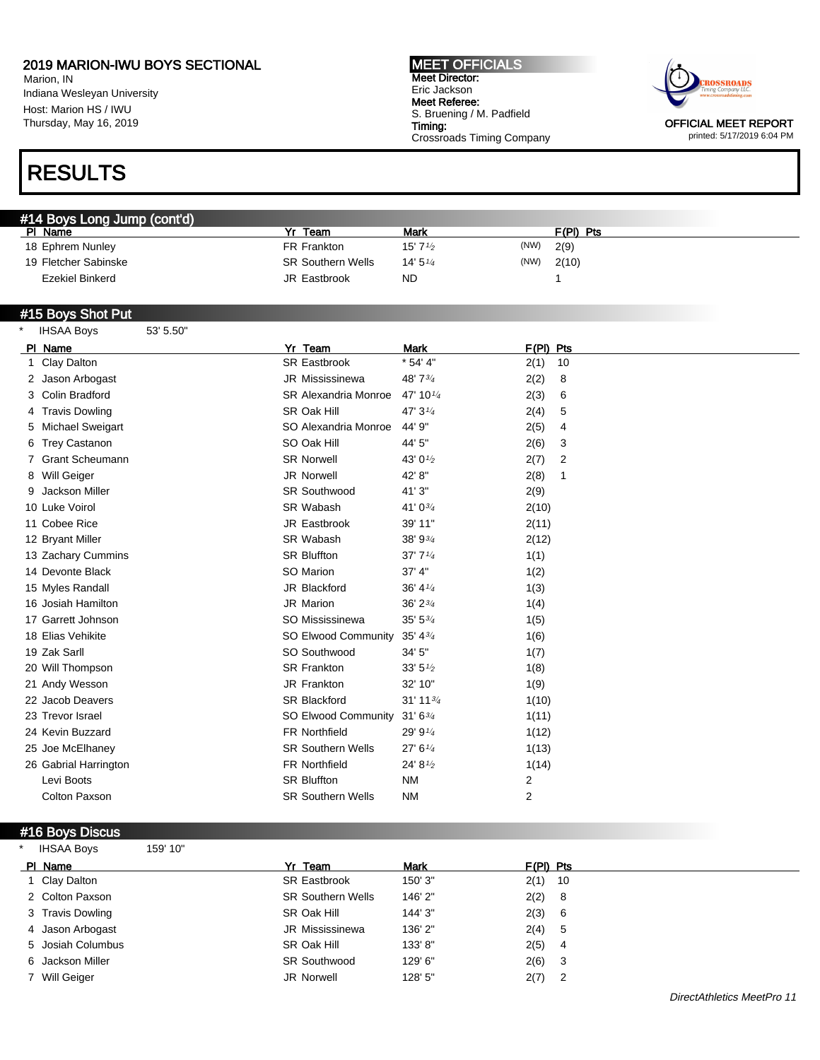Marion, IN Indiana Wesleyan University Host: Marion HS / IWU Thursday, May 16, 2019

# RESULTS

MEET OFFICIALS Meet Director: Eric Jackson Meet Referee: S. Bruening / M. Padfield Timing: Crossroads Timing Company



OFFICIAL MEET REPORT printed: 5/17/2019 6:04 PM

| #14 Boys Long Jump (cont'd) |                          |                   |      |           |
|-----------------------------|--------------------------|-------------------|------|-----------|
| PI Name                     | Team                     | <b>Mark</b>       |      | F(PI) Pts |
| 18 Ephrem Nunley            | FR Frankton              | $15'7\frac{1}{2}$ | (NW) | 2(9)      |
| 19 Fletcher Sabinske        | <b>SR Southern Wells</b> | 14'5''4           | (NW) | 2(10)     |
| Ezekiel Binkerd             | JR Eastbrook             | <b>ND</b>         |      |           |

#### #15 Boys Shot Put

| <b>IHSAA Boys</b>     | 53' 5.50" |                          |                                   |                     |
|-----------------------|-----------|--------------------------|-----------------------------------|---------------------|
| PI Name               |           | Yr_Team                  | <b>Mark</b>                       | $F(PI)$ Pts         |
| 1 Clay Dalton         |           | <b>SR Eastbrook</b>      | $* 54' 4"$                        | 2(1)<br>10          |
| 2 Jason Arbogast      |           | <b>JR Mississinewa</b>   | 48' 73/4                          | 2(2)<br>8           |
| 3 Colin Bradford      |           | SR Alexandria Monroe     | 47' 10 $\frac{1}{4}$              | 2(3)<br>6           |
| 4 Travis Dowling      |           | SR Oak Hill              | 47' $3\frac{1}{4}$                | 2(4)<br>5           |
| 5 Michael Sweigart    |           | SO Alexandria Monroe     | 44' 9"                            | 2(5)<br>4           |
| 6 Trey Castanon       |           | SO Oak Hill              | 44' 5"                            | 2(6)<br>3           |
| 7 Grant Scheumann     |           | <b>SR Norwell</b>        | 43' 0 <sup>1</sup> / <sub>2</sub> | 2<br>2(7)           |
| 8 Will Geiger         |           | <b>JR Norwell</b>        | 42' 8"                            | 2(8)<br>$\mathbf 1$ |
| 9 Jackson Miller      |           | <b>SR Southwood</b>      | 41'3"                             | 2(9)                |
| 10 Luke Voirol        |           | SR Wabash                | 41' 03/4                          | 2(10)               |
| 11 Cobee Rice         |           | JR Eastbrook             | 39' 11"                           | 2(11)               |
| 12 Bryant Miller      |           | SR Wabash                | 38' 93/4                          | 2(12)               |
| 13 Zachary Cummins    |           | <b>SR Bluffton</b>       | 37'7''                            | 1(1)                |
| 14 Devonte Black      |           | SO Marion                | 37' 4''                           | 1(2)                |
| 15 Myles Randall      |           | JR Blackford             | 36' $4\frac{1}{4}$                | 1(3)                |
| 16 Josiah Hamilton    |           | JR Marion                | 36' 2 <sup>3</sup> / <sub>4</sub> | 1(4)                |
| 17 Garrett Johnson    |           | SO Mississinewa          | $35'$ $5\frac{3}{4}$              | 1(5)                |
| 18 Elias Vehikite     |           | SO Elwood Community      | 35' 4 <sup>3</sup> / <sub>4</sub> | 1(6)                |
| 19 Zak Sarll          |           | SO Southwood             | 34'5''                            | 1(7)                |
| 20 Will Thompson      |           | <b>SR Frankton</b>       | 33' 5'' <sub>2</sub>              | 1(8)                |
| 21 Andy Wesson        |           | JR Frankton              | 32' 10"                           | 1(9)                |
| 22 Jacob Deavers      |           | <b>SR Blackford</b>      | $31'$ 11 $\frac{3}{4}$            | 1(10)               |
| 23 Trevor Israel      |           | SO Elwood Community      | $31'6^{3/4}$                      | 1(11)               |
| 24 Kevin Buzzard      |           | <b>FR Northfield</b>     | 29' 9 $\frac{1}{4}$               | 1(12)               |
| 25 Joe McElhaney      |           | <b>SR Southern Wells</b> | 27' 6''                           | 1(13)               |
| 26 Gabrial Harrington |           | FR Northfield            | 24' 81/2                          | 1(14)               |
| Levi Boots            |           | <b>SR Bluffton</b>       | <b>NM</b>                         | $\overline{c}$      |
| <b>Colton Paxson</b>  |           | <b>SR Southern Wells</b> | <b>NM</b>                         | $\overline{2}$      |
|                       |           |                          |                                   |                     |

#### #16 Boys Discus

IHSAA Boys 159' 10"

| PI Name           | Yr Team                  | <b>Mark</b> | $F(PI)$ Pts |  |
|-------------------|--------------------------|-------------|-------------|--|
| Clay Dalton       | <b>SR Eastbrook</b>      | 150' 3"     | $2(1)$ 10   |  |
| 2 Colton Paxson   | <b>SR Southern Wells</b> | 146' 2"     | 2(2) 8      |  |
| 3 Travis Dowling  | SR Oak Hill              | 144' 3"     | 2(3) 6      |  |
| 4 Jason Arbogast  | JR Mississinewa          | 136' 2"     | 2(4) 5      |  |
| 5 Josiah Columbus | SR Oak Hill              | 133'8"      | $2(5)$ 4    |  |
| 6 Jackson Miller  | <b>SR Southwood</b>      | 129' 6"     | $2(6)$ 3    |  |
| 7 Will Geiger     | JR Norwell               | 128' 5"     | $2(7)$ 2    |  |